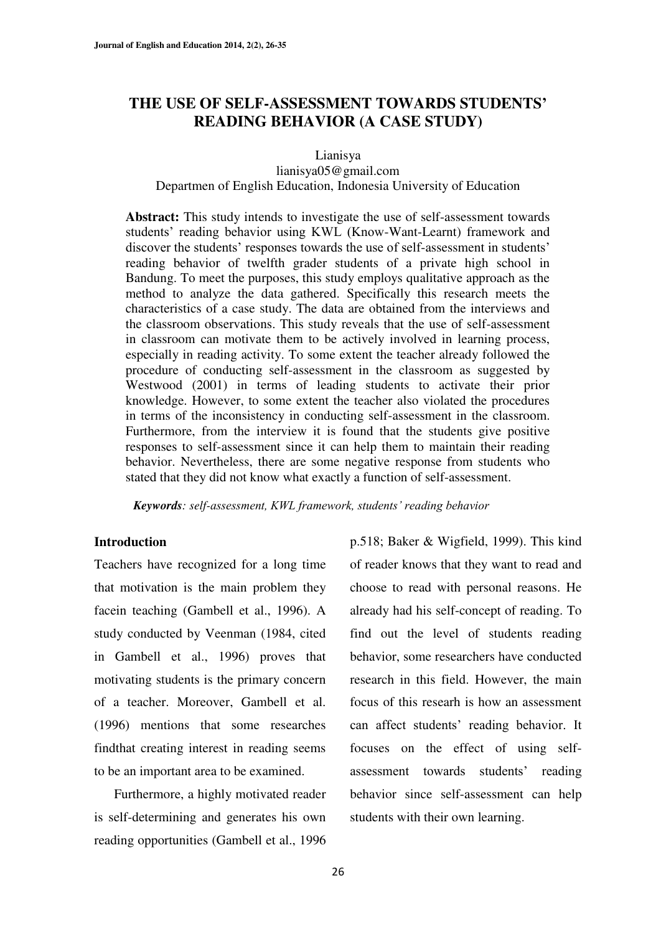# **THE USE OF SELF-ASSESSMENT TOWARDS STUDENTS¶ READING BEHAVIOR (A CASE STUDY)**

Lianisya

### lianisya05@gmail.com Departmen of English Education, Indonesia University of Education

**Abstract:** This study intends to investigate the use of self-assessment towards students' reading behavior using KWL (Know-Want-Learnt) framework and discover the students' responses towards the use of self-assessment in students' reading behavior of twelfth grader students of a private high school in Bandung. To meet the purposes, this study employs qualitative approach as the method to analyze the data gathered. Specifically this research meets the characteristics of a case study. The data are obtained from the interviews and the classroom observations. This study reveals that the use of self-assessment in classroom can motivate them to be actively involved in learning process, especially in reading activity. To some extent the teacher already followed the procedure of conducting self-assessment in the classroom as suggested by Westwood (2001) in terms of leading students to activate their prior knowledge. However, to some extent the teacher also violated the procedures in terms of the inconsistency in conducting self-assessment in the classroom. Furthermore, from the interview it is found that the students give positive responses to self-assessment since it can help them to maintain their reading behavior. Nevertheless, there are some negative response from students who stated that they did not know what exactly a function of self-assessment.

*Keywords: self-assessment, KWL framework, students' reading behavior* 

#### **Introduction**

Teachers have recognized for a long time that motivation is the main problem they facein teaching (Gambell et al., 1996). A study conducted by Veenman (1984, cited in Gambell et al., 1996) proves that motivating students is the primary concern of a teacher. Moreover, Gambell et al. (1996) mentions that some researches findthat creating interest in reading seems to be an important area to be examined.

Furthermore, a highly motivated reader is self-determining and generates his own reading opportunities (Gambell et al., 1996 p.518; Baker & Wigfield, 1999). This kind of reader knows that they want to read and choose to read with personal reasons. He already had his self-concept of reading. To find out the level of students reading behavior, some researchers have conducted research in this field. However, the main focus of this researh is how an assessment can affect students' reading behavior. It focuses on the effect of using selfassessment towards students' reading behavior since self-assessment can help students with their own learning.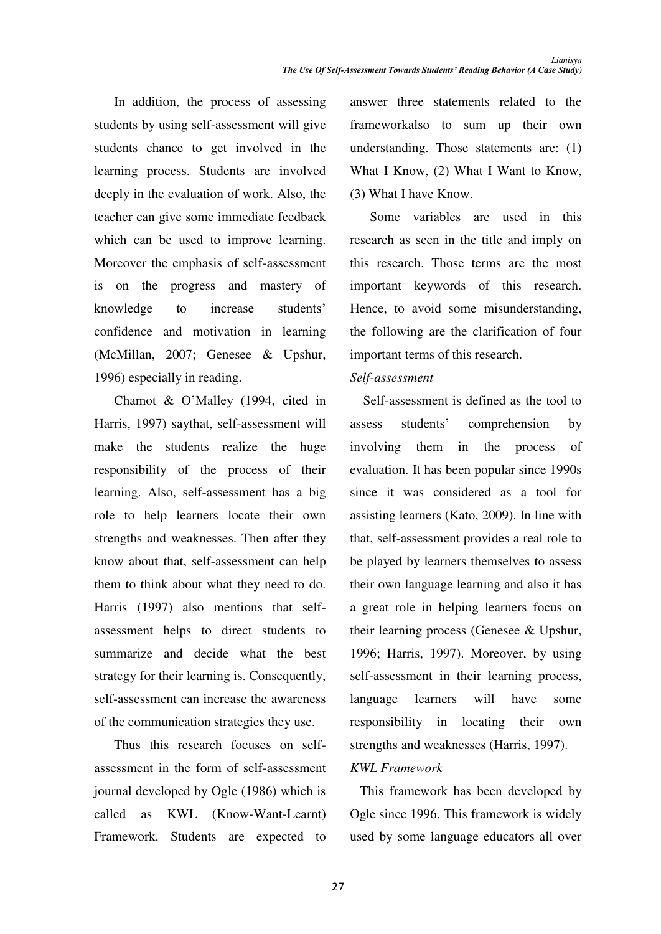In addition, the process of assessing students by using self-assessment will give students chance to get involved in the learning process. Students are involved deeply in the evaluation of work. Also, the teacher can give some immediate feedback which can be used to improve learning. Moreover the emphasis of self-assessment is on the progress and mastery of knowledge to increase students' confidence and motivation in learning (McMillan, 2007; Genesee & Upshur, 1996) especially in reading.

Chamot & O'Malley  $(1994, \text{ cited in})$ Harris, 1997) saythat, self-assessment will make the students realize the huge responsibility of the process of their learning. Also, self-assessment has a big role to help learners locate their own strengths and weaknesses. Then after they know about that, self-assessment can help them to think about what they need to do. Harris (1997) also mentions that selfassessment helps to direct students to summarize and decide what the best strategy for their learning is. Consequently, self-assessment can increase the awareness of the communication strategies they use.

Thus this research focuses on selfassessment in the form of self-assessment journal developed by Ogle (1986) which is called as KWL (Know-Want-Learnt) Framework. Students are expected to answer three statements related to the frameworkalso to sum up their own understanding. Those statements are: (1) What I Know, (2) What I Want to Know, (3) What I have Know.

Some variables are used in this research as seen in the title and imply on this research. Those terms are the most important keywords of this research. Hence, to avoid some misunderstanding, the following are the clarification of four important terms of this research.

### *Self-assessment*

Self-assessment is defined as the tool to assess students' comprehension by involving them in the process of evaluation. It has been popular since 1990s since it was considered as a tool for assisting learners (Kato, 2009). In line with that, self-assessment provides a real role to be played by learners themselves to assess their own language learning and also it has a great role in helping learners focus on their learning process (Genesee & Upshur, 1996; Harris, 1997). Moreover, by using self-assessment in their learning process, language learners will have some responsibility in locating their own strengths and weaknesses (Harris, 1997).

## *KWL Framework*

 This framework has been developed by Ogle since 1996. This framework is widely used by some language educators all over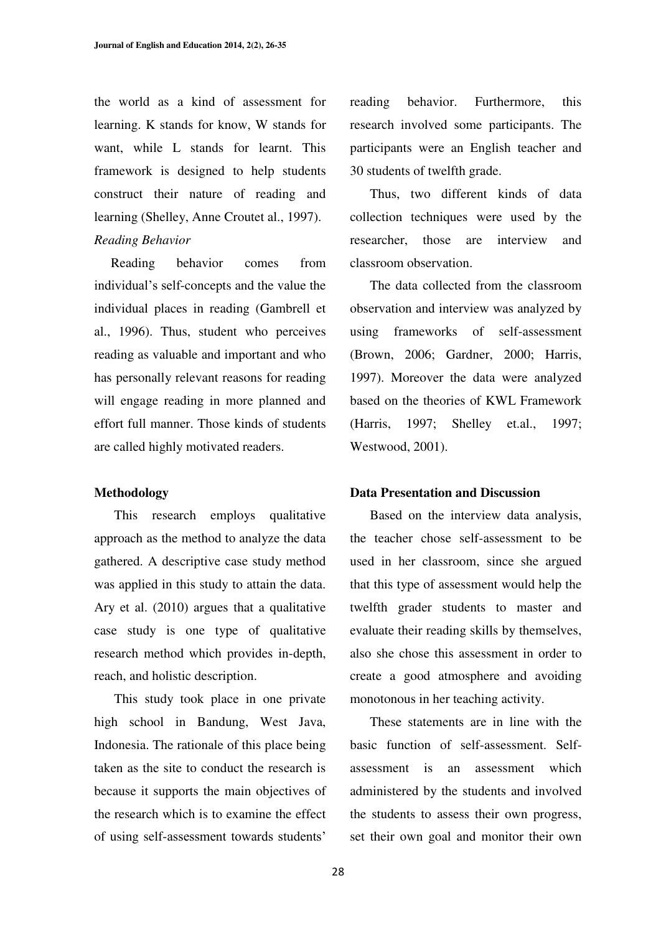the world as a kind of assessment for learning. K stands for know, W stands for want, while L stands for learnt. This framework is designed to help students construct their nature of reading and learning (Shelley, Anne Croutet al., 1997). *Reading Behavior* 

 Reading behavior comes from individual's self-concepts and the value the individual places in reading (Gambrell et al., 1996). Thus, student who perceives reading as valuable and important and who has personally relevant reasons for reading will engage reading in more planned and effort full manner. Those kinds of students are called highly motivated readers.

#### **Methodology**

This research employs qualitative approach as the method to analyze the data gathered. A descriptive case study method was applied in this study to attain the data. Ary et al. (2010) argues that a qualitative case study is one type of qualitative research method which provides in-depth, reach, and holistic description.

This study took place in one private high school in Bandung, West Java, Indonesia. The rationale of this place being taken as the site to conduct the research is because it supports the main objectives of the research which is to examine the effect of using self-assessment towards students'

reading behavior. Furthermore, this research involved some participants. The participants were an English teacher and 30 students of twelfth grade.

Thus, two different kinds of data collection techniques were used by the researcher, those are interview and classroom observation.

The data collected from the classroom observation and interview was analyzed by using frameworks of self-assessment (Brown, 2006; Gardner, 2000; Harris, 1997). Moreover the data were analyzed based on the theories of KWL Framework (Harris, 1997; Shelley et.al., 1997; Westwood, 2001).

#### **Data Presentation and Discussion**

Based on the interview data analysis, the teacher chose self-assessment to be used in her classroom, since she argued that this type of assessment would help the twelfth grader students to master and evaluate their reading skills by themselves, also she chose this assessment in order to create a good atmosphere and avoiding monotonous in her teaching activity.

These statements are in line with the basic function of self-assessment. Selfassessment is an assessment which administered by the students and involved the students to assess their own progress, set their own goal and monitor their own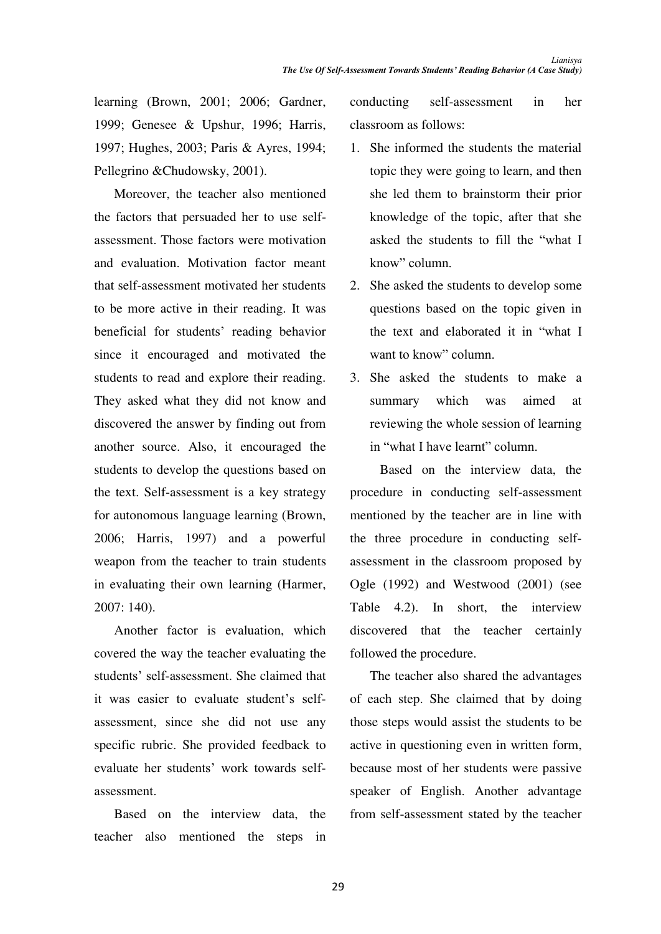learning (Brown, 2001; 2006; Gardner, 1999; Genesee & Upshur, 1996; Harris, 1997; Hughes, 2003; Paris & Ayres, 1994; Pellegrino &Chudowsky, 2001).

Moreover, the teacher also mentioned the factors that persuaded her to use selfassessment. Those factors were motivation and evaluation. Motivation factor meant that self-assessment motivated her students to be more active in their reading. It was beneficial for students' reading behavior since it encouraged and motivated the students to read and explore their reading. They asked what they did not know and discovered the answer by finding out from another source. Also, it encouraged the students to develop the questions based on the text. Self-assessment is a key strategy for autonomous language learning (Brown, 2006; Harris, 1997) and a powerful weapon from the teacher to train students in evaluating their own learning (Harmer, 2007: 140).

Another factor is evaluation, which covered the way the teacher evaluating the students' self-assessment. She claimed that it was easier to evaluate student's selfassessment, since she did not use any specific rubric. She provided feedback to evaluate her students' work towards selfassessment.

Based on the interview data, the teacher also mentioned the steps in conducting self-assessment in her classroom as follows:

- 1. She informed the students the material topic they were going to learn, and then she led them to brainstorm their prior knowledge of the topic, after that she asked the students to fill the "what I know" column.
- 2. She asked the students to develop some questions based on the topic given in the text and elaborated it in "what I want to know" column.
- 3. She asked the students to make a summary which was aimed at reviewing the whole session of learning in "what I have learnt" column.

 Based on the interview data, the procedure in conducting self-assessment mentioned by the teacher are in line with the three procedure in conducting selfassessment in the classroom proposed by Ogle (1992) and Westwood (2001) (see Table 4.2). In short, the interview discovered that the teacher certainly followed the procedure.

The teacher also shared the advantages of each step. She claimed that by doing those steps would assist the students to be active in questioning even in written form, because most of her students were passive speaker of English. Another advantage from self-assessment stated by the teacher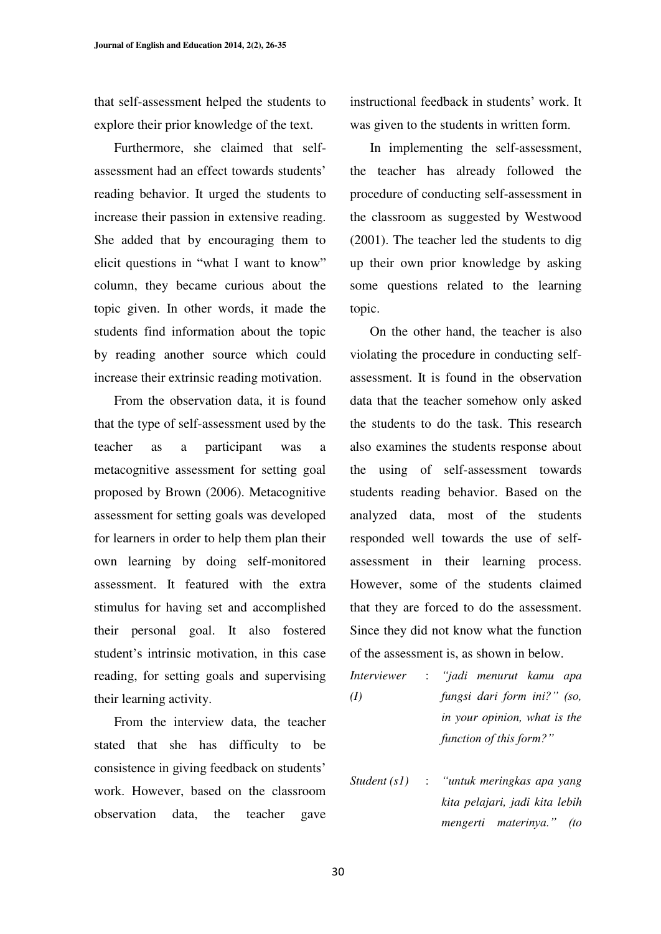that self-assessment helped the students to explore their prior knowledge of the text.

Furthermore, she claimed that selfassessment had an effect towards students' reading behavior. It urged the students to increase their passion in extensive reading. She added that by encouraging them to elicit questions in "what I want to know" column, they became curious about the topic given. In other words, it made the students find information about the topic by reading another source which could increase their extrinsic reading motivation.

From the observation data, it is found that the type of self-assessment used by the teacher as a participant was a metacognitive assessment for setting goal proposed by Brown (2006). Metacognitive assessment for setting goals was developed for learners in order to help them plan their own learning by doing self-monitored assessment. It featured with the extra stimulus for having set and accomplished their personal goal. It also fostered student's intrinsic motivation, in this case reading, for setting goals and supervising their learning activity.

From the interview data, the teacher stated that she has difficulty to be consistence in giving feedback on students' work. However, based on the classroom observation data, the teacher gave instructional feedback in students' work. It was given to the students in written form.

In implementing the self-assessment, the teacher has already followed the procedure of conducting self-assessment in the classroom as suggested by Westwood (2001). The teacher led the students to dig up their own prior knowledge by asking some questions related to the learning topic.

On the other hand, the teacher is also violating the procedure in conducting selfassessment. It is found in the observation data that the teacher somehow only asked the students to do the task. This research also examines the students response about the using of self-assessment towards students reading behavior. Based on the analyzed data, most of the students responded well towards the use of selfassessment in their learning process. However, some of the students claimed that they are forced to do the assessment. Since they did not know what the function of the assessment is, as shown in below.

*Interviewer (I)*  : *³MDGL menurut kamu apa fungsi dari form ini?" (so, in your opinion, what is the function of this form?*"

*Student (s1)*  : *³XQWXN meringkas apa yang kita pelajari, jadi kita lebih mengerti materinya.*" (to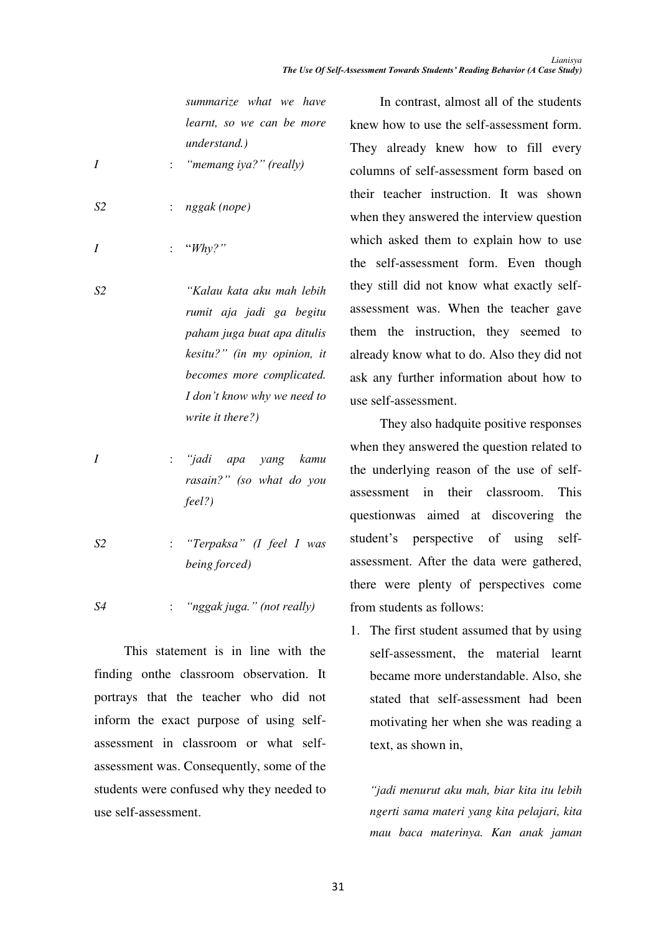*summarize what we have learnt, so we can be more understand.)* 

- *I*  : *"* memang *iya?"* (really)
- *S2*  : *nggak (nope)*
- *I*  : *"Whv?"*
- *S2 ³.DODX NDWD DNX PDK OHELK rumit aja jadi ga begitu paham juga buat apa ditulis kesitu?"* (in my opinion, it *becomes more complicated. I* don't know why we need to *write it there?)*
- *I*  : *"jadi apa yang kamu rasain?"* (so what do you *feel?)*
- *S2*  : *<sup><i>a</sup>Terpaksa I Ifeel I was*</sup> *being forced)*

*S4*  : *a*ggak juga." (not really)

This statement is in line with the finding onthe classroom observation. It portrays that the teacher who did not inform the exact purpose of using selfassessment in classroom or what selfassessment was. Consequently, some of the students were confused why they needed to use self-assessment.

In contrast, almost all of the students knew how to use the self-assessment form. They already knew how to fill every columns of self-assessment form based on their teacher instruction. It was shown when they answered the interview question which asked them to explain how to use the self-assessment form. Even though they still did not know what exactly selfassessment was. When the teacher gave them the instruction, they seemed to already know what to do. Also they did not ask any further information about how to use self-assessment.

They also hadquite positive responses when they answered the question related to the underlying reason of the use of selfassessment in their classroom. This questionwas aimed at discovering the student's perspective of using selfassessment. After the data were gathered, there were plenty of perspectives come from students as follows:

1. The first student assumed that by using self-assessment, the material learnt became more understandable. Also, she stated that self-assessment had been motivating her when she was reading a text, as shown in,

*³MDGL menurut aku mah, biar kita itu lebih ngerti sama materi yang kita pelajari, kita mau baca materinya. Kan anak jaman*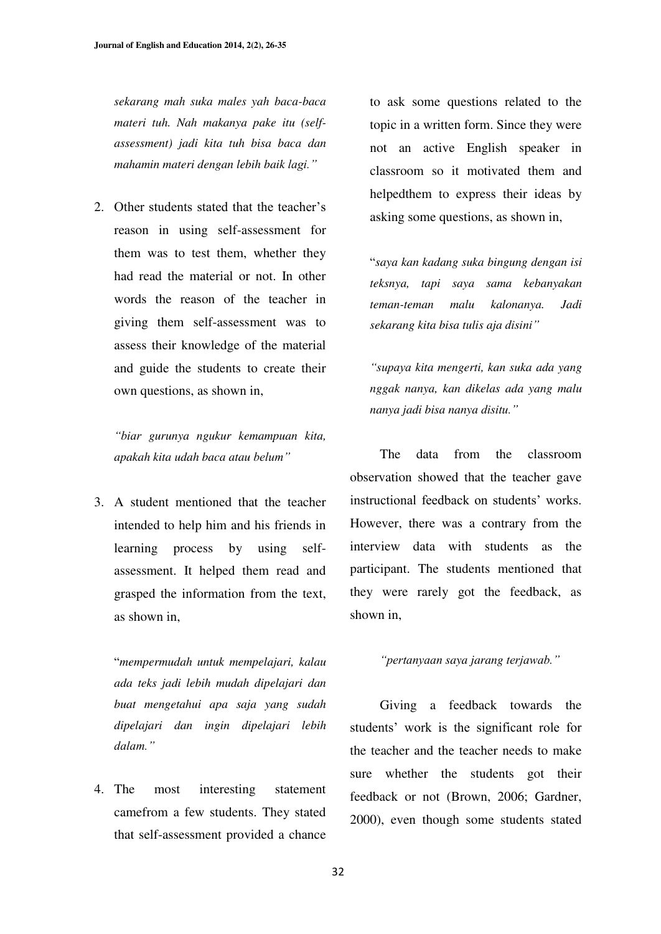*sekarang mah suka males yah baca-baca materi tuh. Nah makanya pake itu (selfassessment) jadi kita tuh bisa baca dan mahamin materi dengan lebih baik lagi.*"

2. Other students stated that the teacher's reason in using self-assessment for them was to test them, whether they had read the material or not. In other words the reason of the teacher in giving them self-assessment was to assess their knowledge of the material and guide the students to create their own questions, as shown in,

*³ELDU gurunya ngukur kemampuan kita, apakah kita udah baca atau belum*"

3. A student mentioned that the teacher intended to help him and his friends in learning process by using selfassessment. It helped them read and grasped the information from the text, as shown in,

³*mempermudah untuk mempelajari, kalau ada teks jadi lebih mudah dipelajari dan buat mengetahui apa saja yang sudah dipelajari dan ingin dipelajari lebih*  dalam."

4. The most interesting statement camefrom a few students. They stated that self-assessment provided a chance to ask some questions related to the topic in a written form. Since they were not an active English speaker in classroom so it motivated them and helpedthem to express their ideas by asking some questions, as shown in,

³*saya kan kadang suka bingung dengan isi teksnya, tapi saya sama kebanyakan teman-teman malu kalonanya. Jadi sekarang kita bisa tulis aja disini*"

*³VXSD\D kita mengerti, kan suka ada yang nggak nanya, kan dikelas ada yang malu nanya jadi bisa nanya disitu.*"

The data from the classroom observation showed that the teacher gave instructional feedback on students' works. However, there was a contrary from the interview data with students as the participant. The students mentioned that they were rarely got the feedback, as shown in,

### *³SHUWDQ\DDQ saya jarang WHUMDZDE¥*

Giving a feedback towards the students' work is the significant role for the teacher and the teacher needs to make sure whether the students got their feedback or not (Brown, 2006; Gardner, 2000), even though some students stated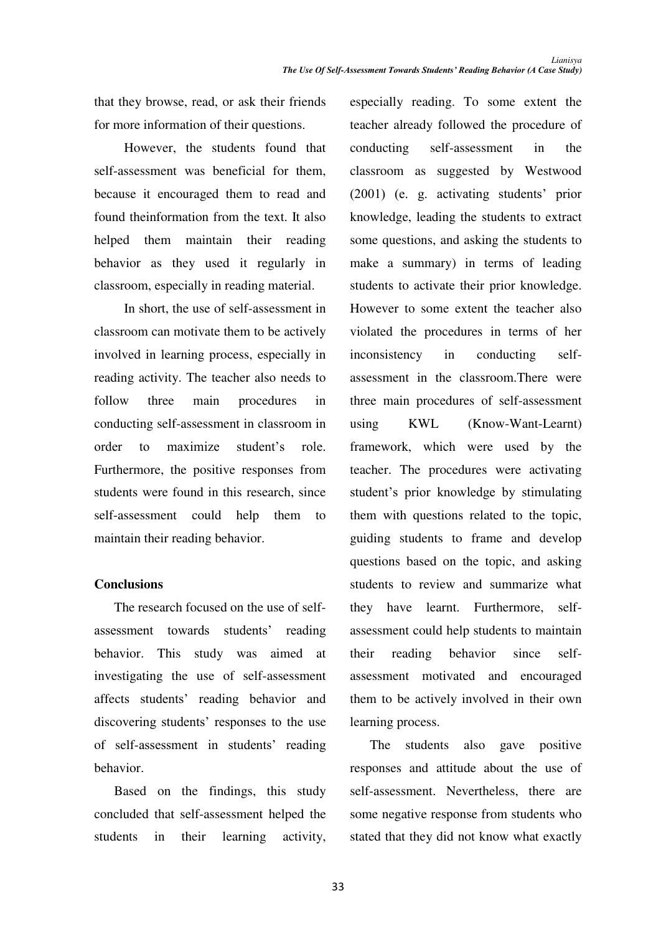that they browse, read, or ask their friends for more information of their questions.

However, the students found that self-assessment was beneficial for them, because it encouraged them to read and found theinformation from the text. It also helped them maintain their reading behavior as they used it regularly in classroom, especially in reading material.

In short, the use of self-assessment in classroom can motivate them to be actively involved in learning process, especially in reading activity. The teacher also needs to follow three main procedures in conducting self-assessment in classroom in order to maximize student's role Furthermore, the positive responses from students were found in this research, since self-assessment could help them to maintain their reading behavior.

## **Conclusions**

The research focused on the use of selfassessment towards students' reading behavior. This study was aimed at investigating the use of self-assessment affects students' reading behavior and discovering students' responses to the use of self-assessment in students' reading behavior.

Based on the findings, this study concluded that self-assessment helped the students in their learning activity,

especially reading. To some extent the teacher already followed the procedure of conducting self-assessment in the classroom as suggested by Westwood  $(2001)$  (e. g. activating students' prior knowledge, leading the students to extract some questions, and asking the students to make a summary) in terms of leading students to activate their prior knowledge. However to some extent the teacher also violated the procedures in terms of her inconsistency in conducting selfassessment in the classroom.There were three main procedures of self-assessment using KWL (Know-Want-Learnt) framework, which were used by the teacher. The procedures were activating student's prior knowledge by stimulating them with questions related to the topic, guiding students to frame and develop questions based on the topic, and asking students to review and summarize what they have learnt. Furthermore, selfassessment could help students to maintain their reading behavior since selfassessment motivated and encouraged them to be actively involved in their own learning process.

The students also gave positive responses and attitude about the use of self-assessment. Nevertheless, there are some negative response from students who stated that they did not know what exactly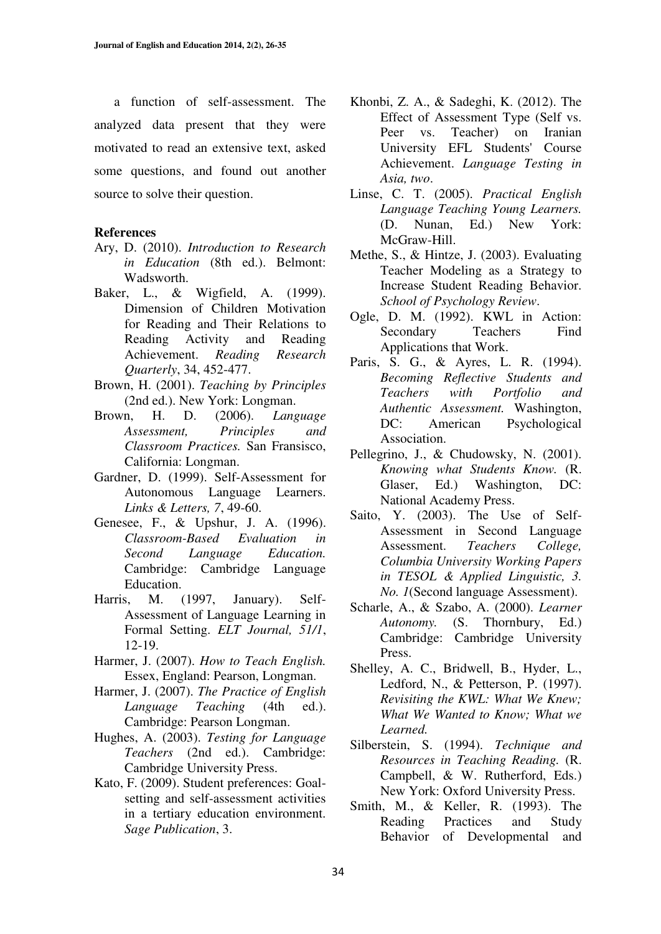a function of self-assessment. The analyzed data present that they were motivated to read an extensive text, asked some questions, and found out another source to solve their question.

#### **References**

- Ary, D. (2010). *Introduction to Research in Education* (8th ed.). Belmont: **Wadsworth**
- Baker, L., & Wigfield, A. (1999). Dimension of Children Motivation for Reading and Their Relations to Reading Activity and Reading Achievement. *Reading Research Quarterly*, 34, 452-477.
- Brown, H. (2001). *Teaching by Principles* (2nd ed.). New York: Longman.
- Brown, H. D. (2006). *Language Assessment, Principles and Classroom Practices.* San Fransisco, California: Longman.
- Gardner, D. (1999). Self-Assessment for Autonomous Language Learners. *Links & Letters, 7*, 49-60.
- Genesee, F., & Upshur, J. A. (1996). *Classroom-Based Evaluation in Second Language Education.* Cambridge: Cambridge Language Education.
- Harris, M. (1997, January). Self-Assessment of Language Learning in Formal Setting. *ELT Journal, 51/1*, 12-19.
- Harmer, J. (2007). *How to Teach English.* Essex, England: Pearson, Longman.
- Harmer, J. (2007). *The Practice of English Language Teaching* (4th ed.). Cambridge: Pearson Longman.
- Hughes, A. (2003). *Testing for Language Teachers* (2nd ed.). Cambridge: Cambridge University Press.
- Kato, F. (2009). Student preferences: Goalsetting and self-assessment activities in a tertiary education environment. *Sage Publication*, 3.
- Khonbi, Z. A., & Sadeghi, K. (2012). The Effect of Assessment Type (Self vs. Peer vs. Teacher) on Iranian University EFL Students' Course Achievement. *Language Testing in Asia, two*.
- Linse, C. T. (2005). *Practical English Language Teaching Young Learners.* (D. Nunan, Ed.) New York: McGraw-Hill.
- Methe, S., & Hintze, J. (2003). Evaluating Teacher Modeling as a Strategy to Increase Student Reading Behavior. *School of Psychology Review*.
- Ogle, D. M. (1992). KWL in Action: Secondary Teachers Find Applications that Work.
- Paris, S. G., & Ayres, L. R. (1994). *Becoming Reflective Students and Teachers with Portfolio and Authentic Assessment.* Washington, DC: American Psychological Association.
- Pellegrino, J., & Chudowsky, N. (2001). *Knowing what Students Know.* (R. Glaser, Ed.) Washington, DC: National Academy Press.
- Saito, Y. (2003). The Use of Self-Assessment in Second Language Assessment. *Teachers College, Columbia University Working Papers in TESOL & Applied Linguistic, 3. No. 1*(Second language Assessment).
- Scharle, A., & Szabo, A. (2000). *Learner Autonomy.* (S. Thornbury, Ed.) Cambridge: Cambridge University Press.
- Shelley, A. C., Bridwell, B., Hyder, L., Ledford, N., & Petterson, P. (1997). *Revisiting the KWL: What We Knew; What We Wanted to Know; What we Learned.*
- Silberstein, S. (1994). *Technique and Resources in Teaching Reading.* (R. Campbell, & W. Rutherford, Eds.) New York: Oxford University Press.
- Smith, M., & Keller, R. (1993). The Reading Practices and Study Behavior of Developmental and